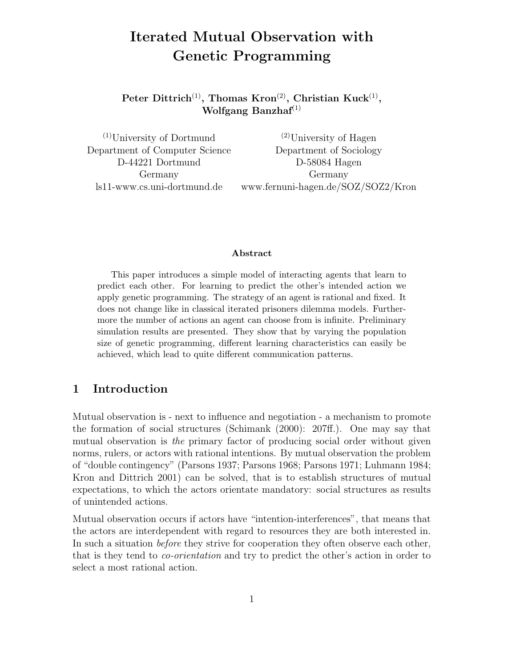# **Iterated Mutual Observation with Genetic Programming**

**Peter Dittrich**(1)**, Thomas Kron**(2)**, Christian Kuck**(1)**, Wolfgang Banzhaf**(1)

 $(1)$ University of Dortmund  $(2)$ University of Hagen Department of Computer Science Department of Sociology D-44221 Dortmund D-58084 Hagen Germany Germany ls11-www.cs.uni-dortmund.de www.fernuni-hagen.de/SOZ/SOZ2/Kron

#### **Abstract**

This paper introduces a simple model of interacting agents that learn to predict each other. For learning to predict the other's intended action we apply genetic programming. The strategy of an agent is rational and fixed. It does not change like in classical iterated prisoners dilemma models. Furthermore the number of actions an agent can choose from is infinite. Preliminary simulation results are presented. They show that by varying the population size of genetic programming, different learning characteristics can easily be achieved, which lead to quite different communication patterns.

# **1 Introduction**

Mutual observation is - next to influence and negotiation - a mechanism to promote the formation of social structures (Schimank (2000): 207ff.). One may say that mutual observation is the primary factor of producing social order without given norms, rulers, or actors with rational intentions. By mutual observation the problem of "double contingency" (Parsons 1937; Parsons 1968; Parsons 1971; Luhmann 1984; Kron and Dittrich 2001) can be solved, that is to establish structures of mutual expectations, to which the actors orientate mandatory: social structures as results of unintended actions.

Mutual observation occurs if actors have "intention-interferences", that means that the actors are interdependent with regard to resources they are both interested in. In such a situation before they strive for cooperation they often observe each other, that is they tend to co-orientation and try to predict the other's action in order to select a most rational action.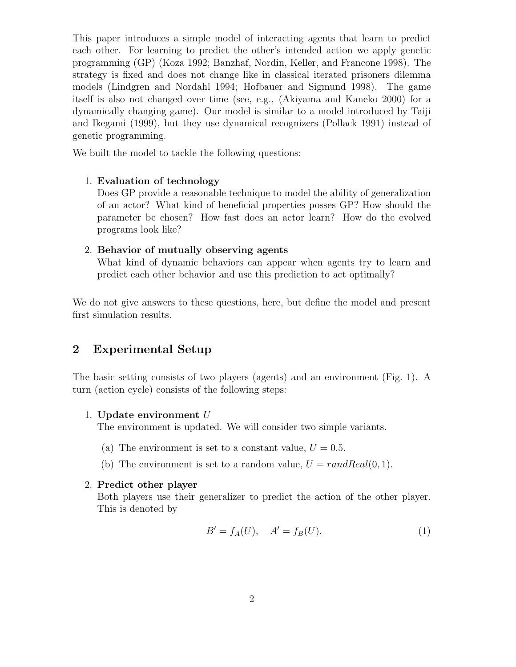This paper introduces a simple model of interacting agents that learn to predict each other. For learning to predict the other's intended action we apply genetic programming (GP) (Koza 1992; Banzhaf, Nordin, Keller, and Francone 1998). The strategy is fixed and does not change like in classical iterated prisoners dilemma models (Lindgren and Nordahl 1994; Hofbauer and Sigmund 1998). The game itself is also not changed over time (see, e.g., (Akiyama and Kaneko 2000) for a dynamically changing game). Our model is similar to a model introduced by Taiji and Ikegami (1999), but they use dynamical recognizers (Pollack 1991) instead of genetic programming.

We built the model to tackle the following questions:

### 1. **Evaluation of technology**

Does GP provide a reasonable technique to model the ability of generalization of an actor? What kind of beneficial properties posses GP? How should the parameter be chosen? How fast does an actor learn? How do the evolved programs look like?

### 2. **Behavior of mutually observing agents**

What kind of dynamic behaviors can appear when agents try to learn and predict each other behavior and use this prediction to act optimally?

We do not give answers to these questions, here, but define the model and present first simulation results.

# **2 Experimental Setup**

The basic setting consists of two players (agents) and an environment (Fig. 1). A turn (action cycle) consists of the following steps:

### 1. **Update environment** U

The environment is updated. We will consider two simple variants.

- (a) The environment is set to a constant value,  $U = 0.5$ .
- (b) The environment is set to a random value,  $U = randReal(0, 1)$ .

### 2. **Predict other player**

Both players use their generalizer to predict the action of the other player. This is denoted by

$$
B' = f_A(U), \quad A' = f_B(U). \tag{1}
$$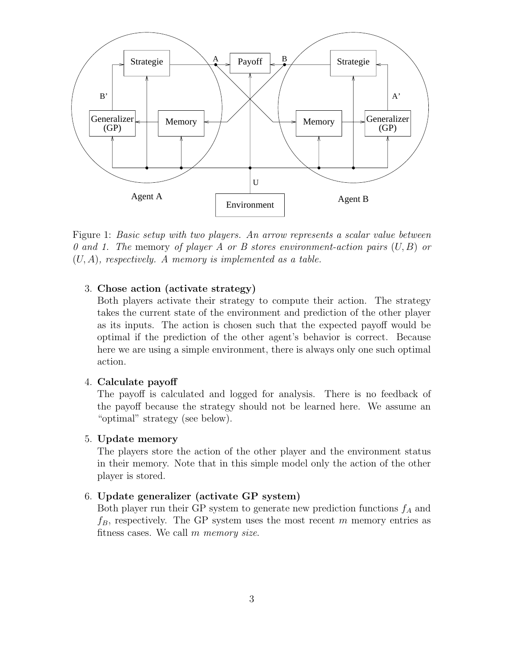

Figure 1: Basic setup with two players. An arrow represents a scalar value between 0 and 1. The memory of player A or B stores environment-action pairs  $(U, B)$  or  $(U, A)$ , respectively. A memory is implemented as a table.

#### 3. **Chose action (activate strategy)**

Both players activate their strategy to compute their action. The strategy takes the current state of the environment and prediction of the other player as its inputs. The action is chosen such that the expected payoff would be optimal if the prediction of the other agent's behavior is correct. Because here we are using a simple environment, there is always only one such optimal action.

#### 4. **Calculate payoff**

The payoff is calculated and logged for analysis. There is no feedback of the payoff because the strategy should not be learned here. We assume an "optimal" strategy (see below).

#### 5. **Update memory**

The players store the action of the other player and the environment status in their memory. Note that in this simple model only the action of the other player is stored.

#### 6. **Update generalizer (activate GP system)**

Both player run their GP system to generate new prediction functions  $f_A$  and  $f_B$ , respectively. The GP system uses the most recent m memory entries as fitness cases. We call m memory size.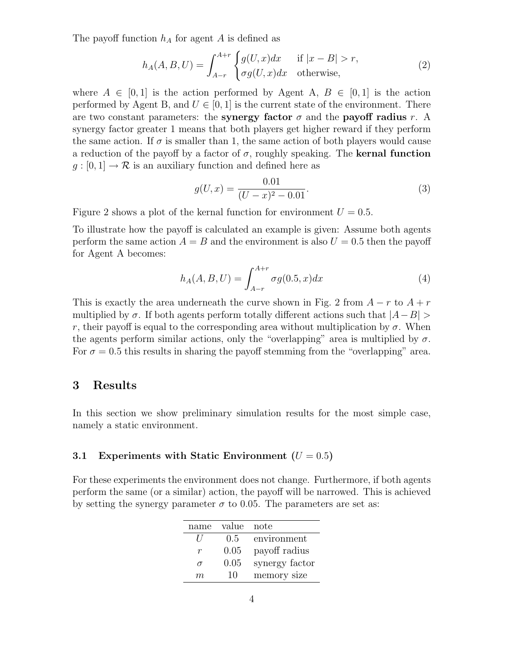The payoff function  $h_A$  for agent A is defined as

$$
h_A(A, B, U) = \int_{A-r}^{A+r} \begin{cases} g(U, x)dx & \text{if } |x - B| > r, \\ \sigma g(U, x)dx & \text{otherwise,} \end{cases}
$$
 (2)

where  $A \in [0,1]$  is the action performed by Agent A,  $B \in [0,1]$  is the action performed by Agent B, and  $U \in [0, 1]$  is the current state of the environment. There are two constant parameters: the **synergy factor**  $\sigma$  and the **payoff radius** r. A synergy factor greater 1 means that both players get higher reward if they perform the same action. If  $\sigma$  is smaller than 1, the same action of both players would cause a reduction of the payoff by a factor of  $\sigma$ , roughly speaking. The **kernal function**  $g:[0,1] \to \mathcal{R}$  is an auxiliary function and defined here as

$$
g(U,x) = \frac{0.01}{(U-x)^2 - 0.01}.
$$
 (3)

Figure 2 shows a plot of the kernal function for environment  $U = 0.5$ .

To illustrate how the payoff is calculated an example is given: Assume both agents perform the same action  $A = B$  and the environment is also  $U = 0.5$  then the payoff for Agent A becomes:

$$
h_A(A, B, U) = \int_{A-r}^{A+r} \sigma g(0.5, x) dx
$$
 (4)

This is exactly the area underneath the curve shown in Fig. 2 from  $A - r$  to  $A + r$ multiplied by  $\sigma$ . If both agents perform totally different actions such that  $|A-B|$ r, their payoff is equal to the corresponding area without multiplication by  $\sigma$ . When the agents perform similar actions, only the "overlapping" area is multiplied by  $\sigma$ . For  $\sigma = 0.5$  this results in sharing the payoff stemming from the "overlapping" area.

## **3 Results**

In this section we show preliminary simulation results for the most simple case, namely a static environment.

#### **3.1 Experiments with Static Environment**  $(U = 0.5)$

For these experiments the environment does not change. Furthermore, if both agents perform the same (or a similar) action, the payoff will be narrowed. This is achieved by setting the synergy parameter  $\sigma$  to 0.05. The parameters are set as:

| name     | value | note           |
|----------|-------|----------------|
| $\prime$ | 0.5   | environment    |
| r        | 0.05  | payoff radius  |
| $\sigma$ | 0.05  | synergy factor |
| m        | 10    | memory size    |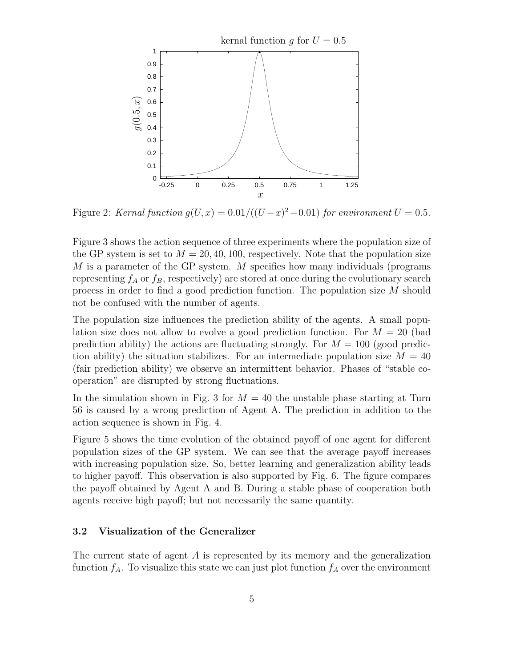

Figure 2: Kernal function  $g(U, x)=0.01/((U-x)^2-0.01)$  for environment  $U = 0.5$ .

Figure 3 shows the action sequence of three experiments where the population size of the GP system is set to  $M = 20, 40, 100$ , respectively. Note that the population size M is a parameter of the GP system. M specifies how many individuals (programs representing  $f_A$  or  $f_B$ , respectively) are stored at once during the evolutionary search process in order to find a good prediction function. The population size M should not be confused with the number of agents.

The population size influences the prediction ability of the agents. A small population size does not allow to evolve a good prediction function. For  $M = 20$  (bad prediction ability) the actions are fluctuating strongly. For  $M = 100$  (good prediction ability) the situation stabilizes. For an intermediate population size  $M = 40$ (fair prediction ability) we observe an intermittent behavior. Phases of "stable cooperation" are disrupted by strong fluctuations.

In the simulation shown in Fig. 3 for  $M = 40$  the unstable phase starting at Turn 56 is caused by a wrong prediction of Agent A. The prediction in addition to the action sequence is shown in Fig. 4.

Figure 5 shows the time evolution of the obtained payoff of one agent for different population sizes of the GP system. We can see that the average payoff increases with increasing population size. So, better learning and generalization ability leads to higher payoff. This observation is also supported by Fig. 6. The figure compares the payoff obtained by Agent A and B. During a stable phase of cooperation both agents receive high payoff; but not necessarily the same quantity.

#### **3.2 Visualization of the Generalizer**

The current state of agent A is represented by its memory and the generalization function  $f_A$ . To visualize this state we can just plot function  $f_A$  over the environment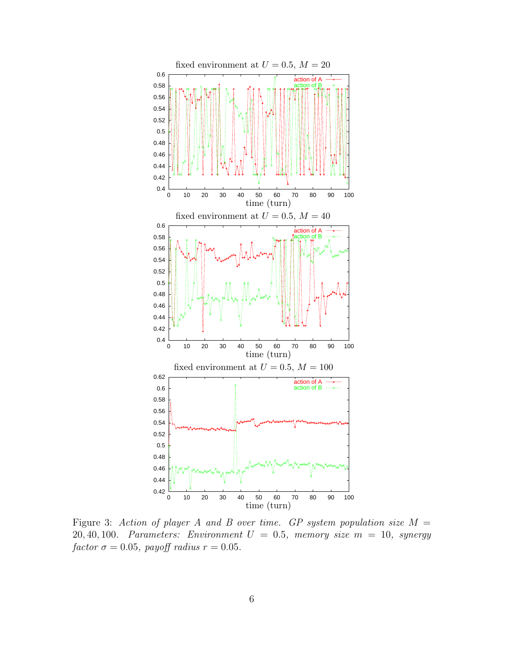

Figure 3: Action of player A and B over time. GP system population size  $M =$ 20, 40, 100. Parameters: Environment  $U = 0.5$ , memory size  $m = 10$ , synergy factor  $\sigma = 0.05$ , payoff radius  $r = 0.05$ .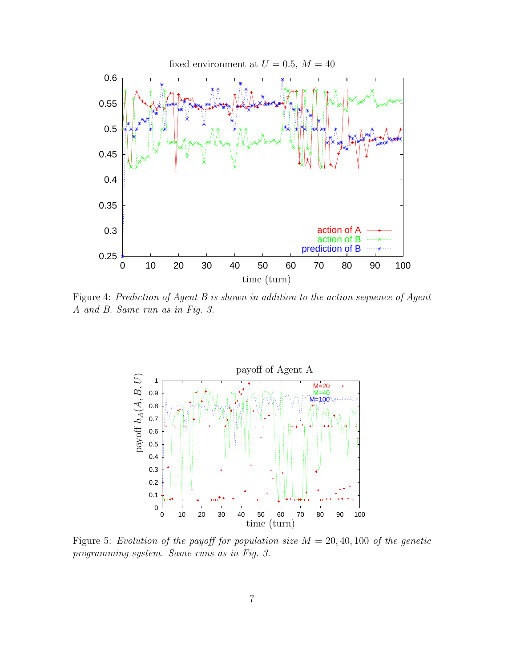

Figure 4: Prediction of Agent B is shown in addition to the action sequence of Agent A and B. Same run as in Fig. 3.



Figure 5: Evolution of the payoff for population size  $M = 20, 40, 100$  of the genetic programming system. Same runs as in Fig. 3.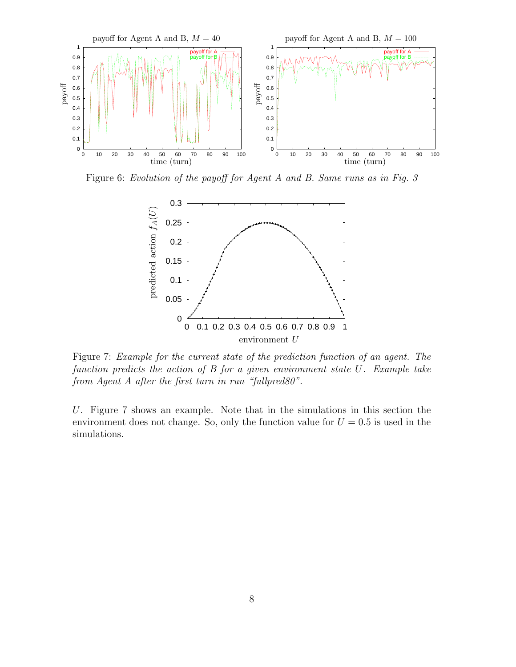

Figure 6: Evolution of the payoff for Agent A and B. Same runs as in Fig. 3



Figure 7: Example for the current state of the prediction function of an agent. The function predicts the action of B for a given environment state U. Example take from Agent A after the first turn in run "fullpred80".

U. Figure 7 shows an example. Note that in the simulations in this section the environment does not change. So, only the function value for  $U = 0.5$  is used in the simulations.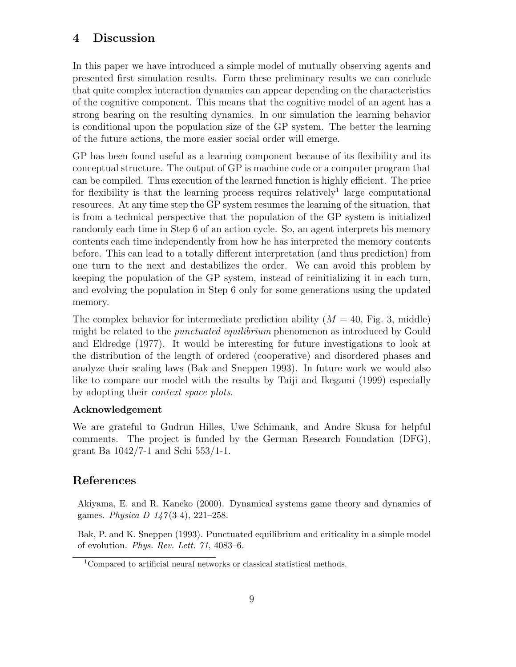# **4 Discussion**

In this paper we have introduced a simple model of mutually observing agents and presented first simulation results. Form these preliminary results we can conclude that quite complex interaction dynamics can appear depending on the characteristics of the cognitive component. This means that the cognitive model of an agent has a strong bearing on the resulting dynamics. In our simulation the learning behavior is conditional upon the population size of the GP system. The better the learning of the future actions, the more easier social order will emerge.

GP has been found useful as a learning component because of its flexibility and its conceptual structure. The output of GP is machine code or a computer program that can be compiled. Thus execution of the learned function is highly efficient. The price for flexibility is that the learning process requires relatively<sup>1</sup> large computational resources. At any time step the GP system resumes the learning of the situation, that is from a technical perspective that the population of the GP system is initialized randomly each time in Step 6 of an action cycle. So, an agent interprets his memory contents each time independently from how he has interpreted the memory contents before. This can lead to a totally different interpretation (and thus prediction) from one turn to the next and destabilizes the order. We can avoid this problem by keeping the population of the GP system, instead of reinitializing it in each turn, and evolving the population in Step 6 only for some generations using the updated memory.

The complex behavior for intermediate prediction ability  $(M = 40, \text{ Fig. 3, middle})$ might be related to the *punctuated equilibrium* phenomenon as introduced by Gould and Eldredge (1977). It would be interesting for future investigations to look at the distribution of the length of ordered (cooperative) and disordered phases and analyze their scaling laws (Bak and Sneppen 1993). In future work we would also like to compare our model with the results by Taiji and Ikegami (1999) especially by adopting their context space plots.

# **Acknowledgement**

We are grateful to Gudrun Hilles, Uwe Schimank, and Andre Skusa for helpful comments. The project is funded by the German Research Foundation (DFG), grant Ba 1042/7-1 and Schi 553/1-1.

# **References**

Akiyama, E. and R. Kaneko (2000). Dynamical systems game theory and dynamics of games. *Physica D 147* (3-4), 221–258.

Bak, P. and K. Sneppen (1993). Punctuated equilibrium and criticality in a simple model of evolution. *Phys. Rev. Lett. 71*, 4083–6.

<sup>1</sup>Compared to artificial neural networks or classical statistical methods.